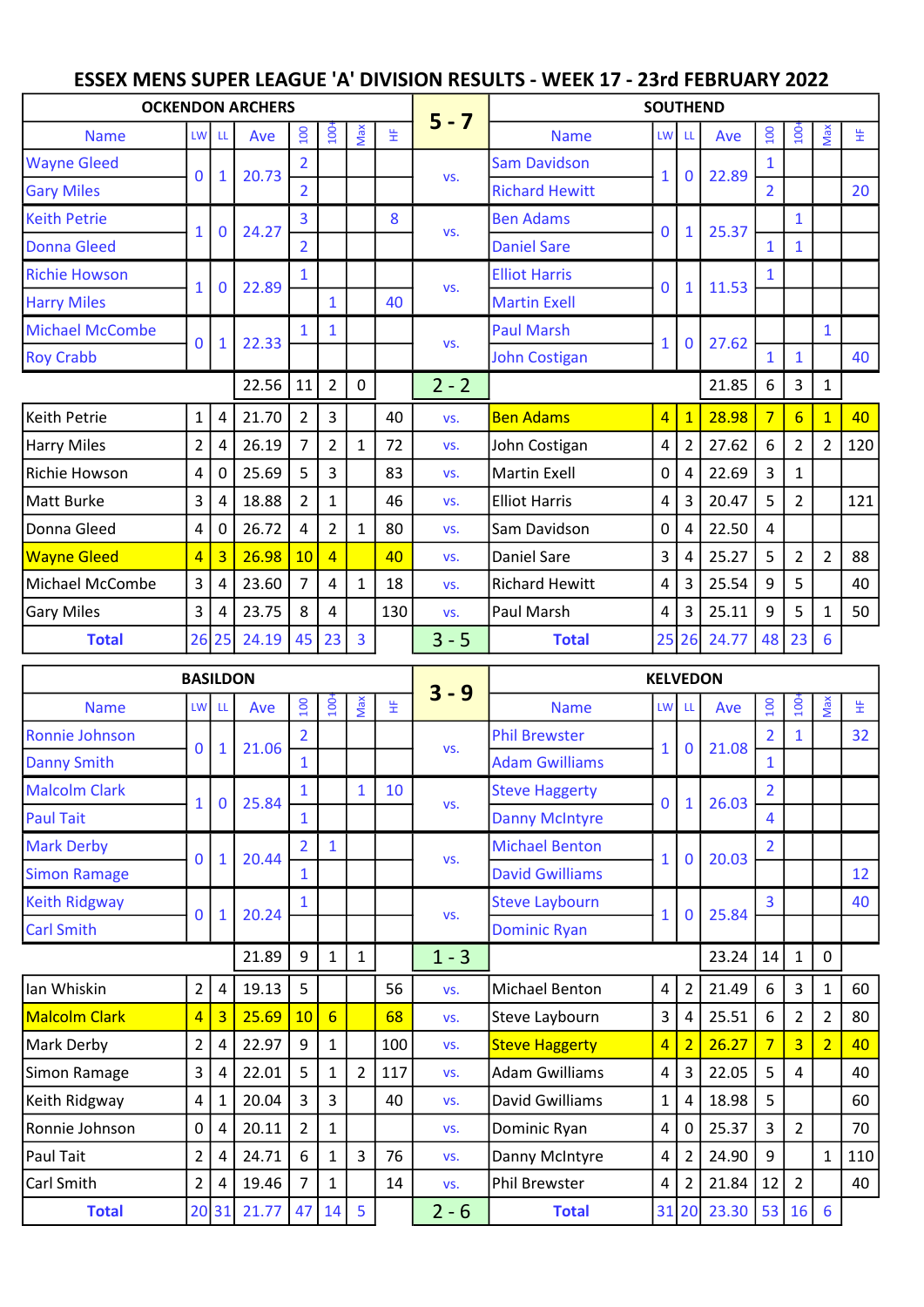## ESSEX MENS SUPER LEAGUE 'A' DIVISION RESULTS - WEEK 17 - 23rd FEBRUARY 2022

|                        | <b>OCKENDON ARCHERS</b> |                         |       |                |                |     | <b>SOUTHEND</b> |         |                       |                 |                         |       |                |                 |                |     |  |
|------------------------|-------------------------|-------------------------|-------|----------------|----------------|-----|-----------------|---------|-----------------------|-----------------|-------------------------|-------|----------------|-----------------|----------------|-----|--|
| <b>Name</b>            |                         | <b>LW</b><br>-LL        | Ave   | $\overline{5}$ | $\ddot{a}$     | Max | 뚶               | $5 - 7$ | <b>Name</b>           | LW <sup>I</sup> | - Ll                    | Ave   | 100            | $100+$          | Max            | 뜊   |  |
| <b>Wayne Gleed</b>     | $\mathbf{0}$            | $\mathbf{1}$            | 20.73 |                |                |     |                 |         | <b>Sam Davidson</b>   |                 | $\mathbf 0$             | 22.89 |                |                 |                |     |  |
| <b>Gary Miles</b>      |                         |                         |       | $\overline{2}$ |                |     |                 | VS.     | <b>Richard Hewitt</b> | $\mathbf{1}$    |                         |       | $\overline{2}$ |                 |                | 20  |  |
| <b>Keith Petrie</b>    | 1                       | $\mathbf 0$             | 24.27 | 3              |                |     | 8               |         | <b>Ben Adams</b>      | $\mathbf{0}$    | $\mathbf{1}$            | 25.37 |                | $\mathbf{1}$    |                |     |  |
| <b>Donna Gleed</b>     |                         |                         |       | $\overline{2}$ |                |     |                 | VS.     | <b>Daniel Sare</b>    |                 |                         |       |                |                 |                |     |  |
| <b>Richie Howson</b>   | $\mathbf{1}$            |                         | 22.89 | 1              |                |     |                 | VS.     | <b>Elliot Harris</b>  | $\Omega$        | $\mathbf{1}$            | 11.53 |                |                 |                |     |  |
| <b>Harry Miles</b>     |                         | $\bf{0}$                |       |                |                |     | 40              |         | <b>Martin Exell</b>   |                 |                         |       |                |                 |                |     |  |
| <b>Michael McCombe</b> | $\bf{0}$                |                         | 22.33 |                |                |     |                 | VS.     | <b>Paul Marsh</b>     | $\mathbf{1}$    | $\mathbf 0$             | 27.62 |                |                 | $\mathbf{1}$   |     |  |
| <b>Roy Crabb</b>       |                         | $\mathbf{1}$            |       |                |                |     |                 |         | <b>John Costigan</b>  |                 |                         |       | 1              | 1               |                | 40  |  |
|                        |                         |                         | 22.56 | 11             | $\overline{2}$ | 0   |                 | $2 - 2$ |                       |                 |                         | 21.85 | 6              | 3               | $\mathbf{1}$   |     |  |
| Keith Petrie           | $\mathbf{1}$            | $\overline{4}$          | 21.70 | $\overline{2}$ | 3              |     | 40              | VS.     | <b>Ben Adams</b>      |                 | $4 \mid 1$              | 28.98 | $\overline{7}$ | $6 \overline{}$ | $\mathbf{1}$   | 40  |  |
| Harry Miles            | $\overline{2}$          | 4                       | 26.19 | 7              | 2              | 1   | 72              | VS.     | John Costigan         | $\overline{4}$  | $\overline{2}$          | 27.62 | 6              | $\overline{2}$  | $\overline{2}$ | 120 |  |
| Richie Howson          | 4                       | 0                       | 25.69 | 5              | 3              |     | 83              | VS.     | <b>Martin Exell</b>   | 0               | 4                       | 22.69 | 3              | 1               |                |     |  |
| Matt Burke             | 3                       | 4                       | 18.88 | 2              | 1              |     | 46              | VS.     | <b>Elliot Harris</b>  | $\overline{4}$  | $\overline{\mathbf{3}}$ | 20.47 | 5              | $\overline{2}$  |                | 121 |  |
| Donna Gleed            | 4                       | 0                       | 26.72 | 4              | $\overline{2}$ | 1   | 80              | VS.     | Sam Davidson          | $\mathbf 0$     | 4                       | 22.50 | 4              |                 |                |     |  |
| <b>Wayne Gleed</b>     | $\overline{\mathbf{4}}$ | $\overline{\mathbf{3}}$ | 26.98 | 10             | $\overline{4}$ |     | 40              | VS.     | Daniel Sare           | 3               | 4                       | 25.27 | 5              | $\overline{2}$  | $\overline{2}$ | 88  |  |
| lMichael McCombe       | 3                       | 4                       | 23.60 | 7              | 4              | 1   | 18              | VS.     | <b>Richard Hewitt</b> | 4               | $\overline{3}$          | 25.54 | 9              | 5               |                | 40  |  |
| <b>Gary Miles</b>      | 3                       | 4                       | 23.75 | 8              | 4              |     | 130             | VS.     | Paul Marsh            | 4               | $\overline{3}$          | 25.11 | 9              | 5               | 1              | 50  |  |
| <b>Total</b>           | 26                      | 25                      | 24.19 | 45             | 23             | 3   |                 | $3 - 5$ | <b>Total</b>          |                 | 25 26                   | 24.77 | 48             | 23              | 6              |     |  |

|                      | <b>BASILDON</b>         |                |                  |                 |                 |                | <b>KELVEDON</b> |             |                        |                |                |       |                  |                |                 |     |  |
|----------------------|-------------------------|----------------|------------------|-----------------|-----------------|----------------|-----------------|-------------|------------------------|----------------|----------------|-------|------------------|----------------|-----------------|-----|--|
| <b>Name</b>          | <b>LW</b><br>ш          | Ave            | $\overline{100}$ | $\overline{5}$  | Max             | 뚶              | $3 - 9$         | <b>Name</b> | LW LL                  |                | Ave            | 001   | $\overline{100}$ | <b>Max</b>     | 뚶               |     |  |
| Ronnie Johnson       | $\mathbf{0}$            |                | 21.06            | $\overline{2}$  |                 |                |                 |             | <b>Phil Brewster</b>   | $\mathbf{1}$   | 0              | 21.08 | $\overline{2}$   |                |                 | 32  |  |
| <b>Danny Smith</b>   |                         |                |                  | $\overline{1}$  |                 |                |                 | VS.         | <b>Adam Gwilliams</b>  |                |                |       |                  |                |                 |     |  |
| <b>Malcolm Clark</b> | $\mathbf{1}$            | $\overline{0}$ | 25.84            | $\mathbf{1}$    |                 | 1              | 10              | VS.         | <b>Steve Haggerty</b>  | $\mathbf{0}$   | 1              | 26.03 | $\overline{2}$   |                |                 |     |  |
| <b>Paul Tait</b>     |                         |                |                  | $\mathbf{1}$    |                 |                |                 |             | <b>Danny McIntyre</b>  |                |                |       | 4                |                |                 |     |  |
| <b>Mark Derby</b>    | $\mathbf{0}$            | $\mathbf{1}$   | 20.44            | $\overline{2}$  | $\mathbf{1}$    |                |                 | VS.         | <b>Michael Benton</b>  | $\mathbf{1}$   | $\mathbf 0$    | 20.03 | $\overline{2}$   |                |                 |     |  |
| <b>Simon Ramage</b>  |                         |                |                  | $\mathbf{1}$    |                 |                |                 |             | <b>David Gwilliams</b> |                |                |       |                  |                |                 | 12  |  |
| <b>Keith Ridgway</b> | $\Omega$                | 1              | 20.24            |                 |                 |                |                 | VS.         | <b>Steve Laybourn</b>  | $\mathbf{1}$   | $\mathbf{0}$   | 25.84 | 3                |                |                 | 40  |  |
| <b>Carl Smith</b>    |                         |                |                  |                 |                 |                |                 |             | <b>Dominic Ryan</b>    |                |                |       |                  |                |                 |     |  |
|                      |                         |                | 21.89            | 9               | $\mathbf{1}$    | $\mathbf{1}$   |                 | $1 - 3$     |                        |                |                | 23.24 | 14               | $\mathbf{1}$   | $\pmb{0}$       |     |  |
| Ian Whiskin          | $\overline{2}$          | 4              | 19.13            | 5               |                 |                | 56              | VS.         | <b>Michael Benton</b>  | 4              | $\overline{2}$ | 21.49 | 6                | 3              | $\mathbf{1}$    | 60  |  |
| <b>Malcolm Clark</b> | $\overline{4}$          | $\overline{3}$ | 25.69            | 10 <sup>1</sup> | $6\overline{6}$ |                | 68              | VS.         | Steve Laybourn         | 3              | 4              | 25.51 | 6                | $\overline{2}$ | $\overline{2}$  | 80  |  |
| Mark Derby           | $\overline{2}$          | 4              | 22.97            | 9               | $\mathbf{1}$    |                | 100             | VS.         | <b>Steve Haggerty</b>  | $\overline{4}$ | $\overline{2}$ | 26.27 | $\overline{7}$   | $\overline{3}$ | $\overline{2}$  | 40  |  |
| Simon Ramage         | 3                       | 4              | 22.01            | 5               | $\mathbf{1}$    | $\overline{2}$ | 117             | VS.         | <b>Adam Gwilliams</b>  | 4              | 3              | 22.05 | 5                | 4              |                 | 40  |  |
| Keith Ridgway        | $\overline{\mathbf{4}}$ | 1              | 20.04            | 3               | 3               |                | 40              | VS.         | David Gwilliams        | $\mathbf{1}$   | 4              | 18.98 | 5                |                |                 | 60  |  |
| Ronnie Johnson       | 0                       | 4              | 20.11            | $\overline{2}$  | 1               |                |                 | VS.         | Dominic Ryan           | $\overline{a}$ | 0              | 25.37 | 3                | $\overline{2}$ |                 | 70  |  |
| Paul Tait            | $\overline{2}$          | 4              | 24.71            | 6               | $\mathbf{1}$    | 3              | 76              | VS.         | Danny McIntyre         | $\overline{4}$ | $\overline{2}$ | 24.90 | 9                |                | $\mathbf{1}$    | 110 |  |
| Carl Smith           | $\overline{2}$          | 4              | 19.46            | 7               | $\mathbf{1}$    |                | 14              | VS.         | <b>Phil Brewster</b>   | 4              | $\overline{2}$ | 21.84 | 12               | 2              |                 | 40  |  |
| <b>Total</b>         |                         | 20 31          | 21.77            | 47              | 14              | 5              |                 | $2 - 6$     | <b>Total</b>           |                | 31 20          | 23.30 | 53               | 16             | $6\phantom{1}6$ |     |  |